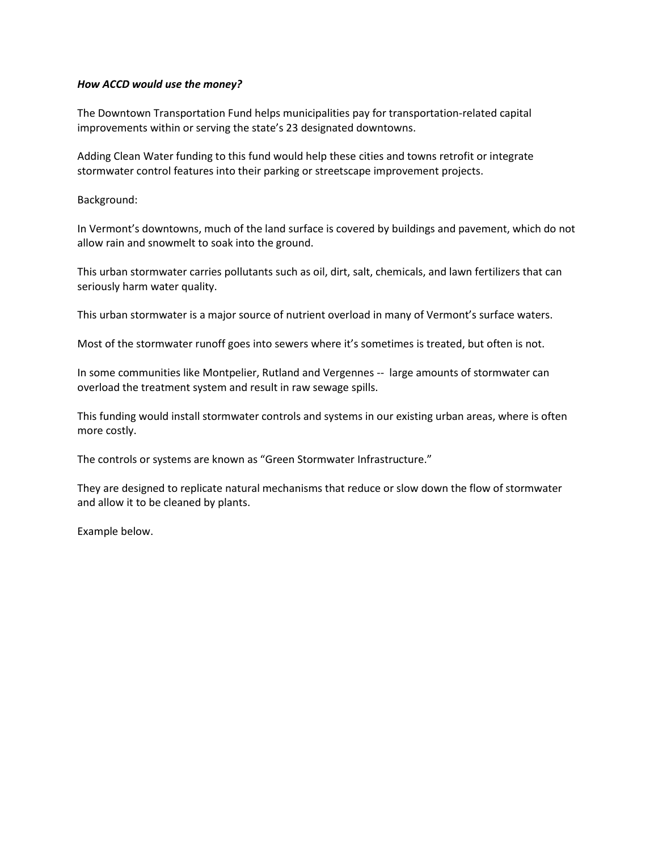## *How ACCD would use the money?*

The Downtown Transportation Fund helps municipalities pay for transportation-related capital improvements within or serving the state's 23 designated downtowns.

Adding Clean Water funding to this fund would help these cities and towns retrofit or integrate stormwater control features into their parking or streetscape improvement projects.

Background:

In Vermont's downtowns, much of the land surface is covered by buildings and pavement, which do not allow rain and snowmelt to soak into the ground.

This urban stormwater carries pollutants such as oil, dirt, salt, chemicals, and lawn fertilizers that can seriously harm water quality.

This urban stormwater is a major source of nutrient overload in many of Vermont's surface waters.

Most of the stormwater runoff goes into sewers where it's sometimes is treated, but often is not.

In some communities like Montpelier, Rutland and Vergennes -- large amounts of stormwater can overload the treatment system and result in raw sewage spills.

This funding would install stormwater controls and systems in our existing urban areas, where is often more costly.

The controls or systems are known as "Green Stormwater Infrastructure."

They are designed to replicate natural mechanisms that reduce or slow down the flow of stormwater and allow it to be cleaned by plants.

Example below.